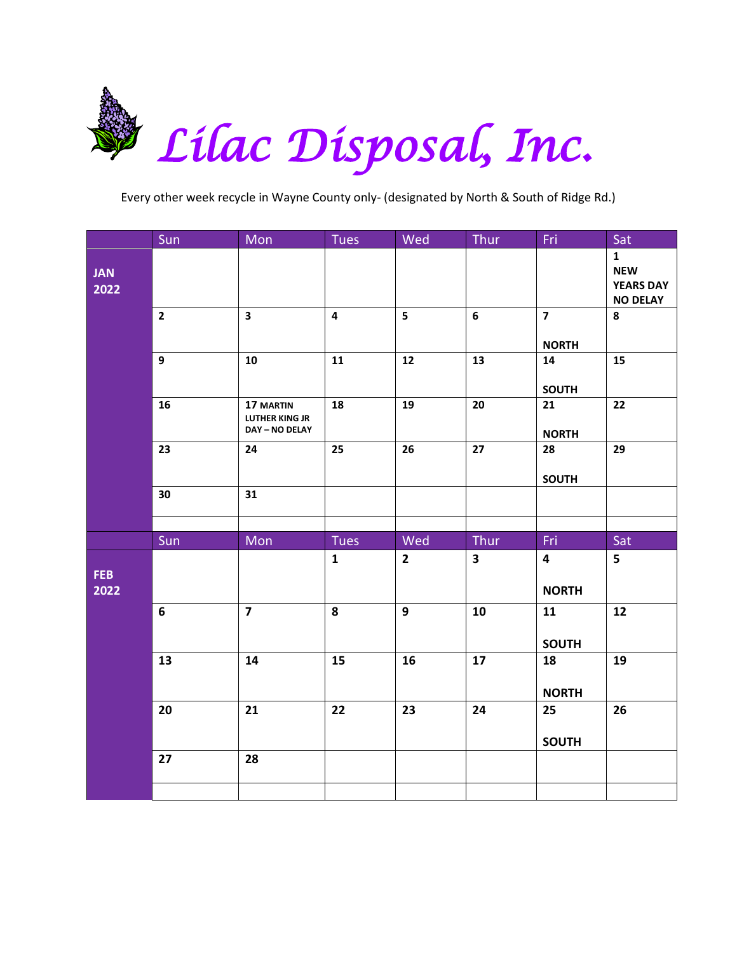

|                    | Sun            | Mon                                                  | Tues                    | Wed            | Thur         | Fri                                     | Sat                                                               |
|--------------------|----------------|------------------------------------------------------|-------------------------|----------------|--------------|-----------------------------------------|-------------------------------------------------------------------|
| <b>JAN</b><br>2022 |                |                                                      |                         |                |              |                                         | $\mathbf{1}$<br><b>NEW</b><br><b>YEARS DAY</b><br><b>NO DELAY</b> |
|                    | $\overline{2}$ | $\overline{\mathbf{3}}$                              | $\overline{\mathbf{4}}$ | 5 <sup>1</sup> | 6            | $\overline{7}$<br><b>NORTH</b>          | 8                                                                 |
|                    | 9              | 10                                                   | 11                      | ${\bf 12}$     | 13           | 14<br><b>SOUTH</b>                      | 15                                                                |
|                    | 16             | 17 MARTIN<br><b>LUTHER KING JR</b><br>DAY - NO DELAY | 18                      | 19             | 20           | 21<br><b>NORTH</b>                      | 22                                                                |
|                    | 23             | 24                                                   | 25                      | 26             | 27           | 28<br><b>SOUTH</b>                      | 29                                                                |
|                    | 30             | 31                                                   |                         |                |              |                                         |                                                                   |
|                    | Sun            | Mon                                                  | Tues                    | Wed            | Thur         | Fri.                                    | Sat                                                               |
| FEB<br>2022        |                |                                                      | $\mathbf{1}$            | $\mathbf{2}$   | $\mathbf{3}$ | $\overline{\mathbf{4}}$<br><b>NORTH</b> | 5                                                                 |
|                    | 6              | $\overline{7}$                                       | 8                       | 9              | 10           | 11<br><b>SOUTH</b>                      | 12                                                                |
|                    | 13             | 14                                                   | 15                      | 16             | 17           | 18<br><b>NORTH</b>                      | 19                                                                |
|                    | 20             | 21                                                   | 22                      | 23             | 24           | 25<br><b>SOUTH</b>                      | 26                                                                |
|                    | 27             | 28                                                   |                         |                |              |                                         |                                                                   |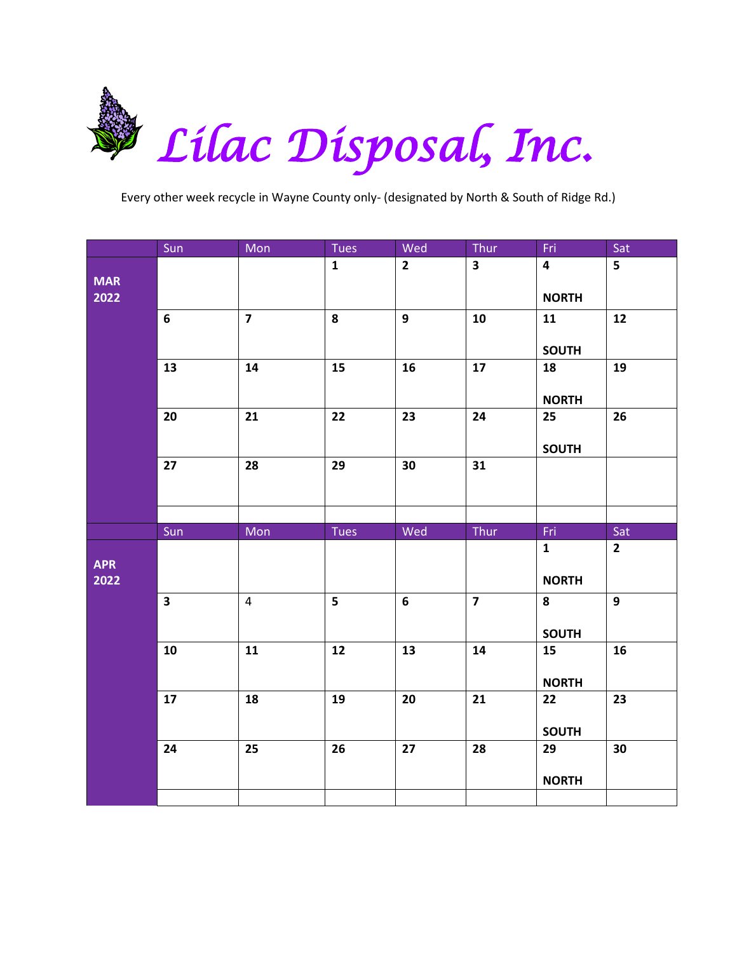

|                    | Sun          | Mon                     | <b>Tues</b>    | Wed          | $Thur$                  | Fri                                     | Sat                     |
|--------------------|--------------|-------------------------|----------------|--------------|-------------------------|-----------------------------------------|-------------------------|
| <b>MAR</b><br>2022 |              |                         | $\mathbf{1}$   | $\mathbf{2}$ | $\overline{\mathbf{3}}$ | $\overline{\mathbf{4}}$<br><b>NORTH</b> | $\overline{\mathbf{5}}$ |
|                    | 6            | $\overline{\mathbf{z}}$ | 8              | 9            | 10                      | 11<br><b>SOUTH</b>                      | 12                      |
|                    | 13           | 14                      | 15             | 16           | 17                      | 18<br><b>NORTH</b>                      | 19                      |
|                    | 20           | 21                      | 22             | 23           | 24                      | 25<br><b>SOUTH</b>                      | 26                      |
|                    | 27           | 28                      | 29             | 30           | 31                      |                                         |                         |
|                    |              |                         |                |              |                         |                                         |                         |
|                    |              |                         |                |              |                         |                                         |                         |
| <b>APR</b><br>2022 | Sun          | Mon                     | Tues           | Wed          | Thur                    | Fri.<br>$\mathbf{1}$<br><b>NORTH</b>    | Sat<br>$2^{\circ}$      |
|                    | $\mathbf{3}$ | $\pmb{4}$               | $5\phantom{a}$ | 6            | $\overline{\mathbf{z}}$ | 8<br><b>SOUTH</b>                       | 9                       |
|                    | 10           | 11                      | $12$           | 13           | 14                      | 15<br><b>NORTH</b>                      | 16                      |
|                    | 17           | 18                      | 19             | 20           | 21                      | 22<br><b>SOUTH</b>                      | 23                      |
|                    | 24           | 25                      | 26             | 27           | 28                      | 29<br><b>NORTH</b>                      | 30                      |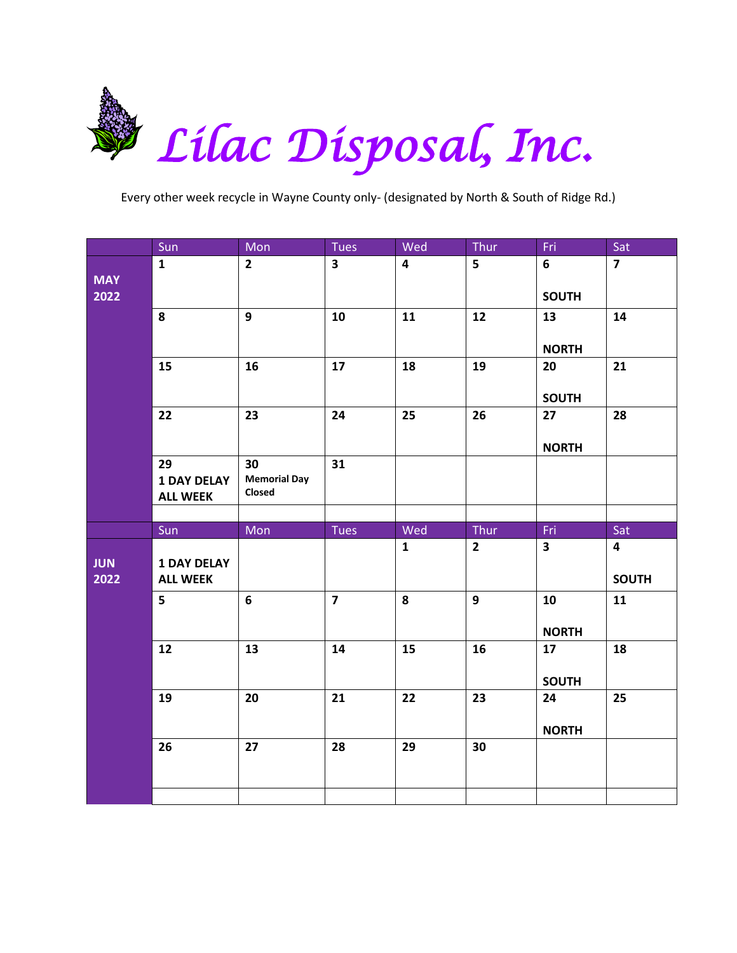

|                    | Sun                                          | Mon                                 | <b>Tues</b>             | Wed                     | Thur                   | Fri                            | Sat                                            |
|--------------------|----------------------------------------------|-------------------------------------|-------------------------|-------------------------|------------------------|--------------------------------|------------------------------------------------|
| <b>MAY</b><br>2022 | $\mathbf{1}$                                 | $\overline{2}$                      | $\overline{\mathbf{3}}$ | $\overline{\mathbf{4}}$ | 5                      | $6\phantom{1}$<br><b>SOUTH</b> | $\overline{7}$                                 |
|                    | 8                                            | $\mathbf{9}$                        | 10                      | 11                      | 12                     | 13<br><b>NORTH</b>             | 14                                             |
|                    | 15                                           | 16                                  | 17                      | 18                      | 19                     | 20<br><b>SOUTH</b>             | 21                                             |
|                    | 22                                           | 23                                  | 24                      | 25                      | 26                     | 27<br><b>NORTH</b>             | 28                                             |
|                    | 29<br><b>1 DAY DELAY</b><br><b>ALL WEEK</b>  | 30<br><b>Memorial Day</b><br>Closed | 31                      |                         |                        |                                |                                                |
|                    |                                              |                                     |                         |                         |                        |                                |                                                |
|                    |                                              |                                     |                         |                         |                        |                                |                                                |
| <b>JUN</b><br>2022 | Sun<br><b>1 DAY DELAY</b><br><b>ALL WEEK</b> | Mon                                 | <b>Tues</b>             | Wed<br>$\mathbf{1}$     | Thur<br>$\overline{2}$ | Fri<br>$\overline{\mathbf{3}}$ | Sat<br>$\overline{\mathbf{4}}$<br><b>SOUTH</b> |
|                    | 5                                            | 6                                   | $\overline{7}$          | 8                       | 9                      | 10<br><b>NORTH</b>             | 11                                             |
|                    | 12                                           | 13                                  | 14                      | 15                      | 16                     | 17<br><b>SOUTH</b>             | 18                                             |
|                    | 19                                           | 20                                  | 21                      | 22                      | 23                     | 24<br><b>NORTH</b>             | 25                                             |
|                    | 26                                           | 27                                  | 28                      | 29                      | 30                     |                                |                                                |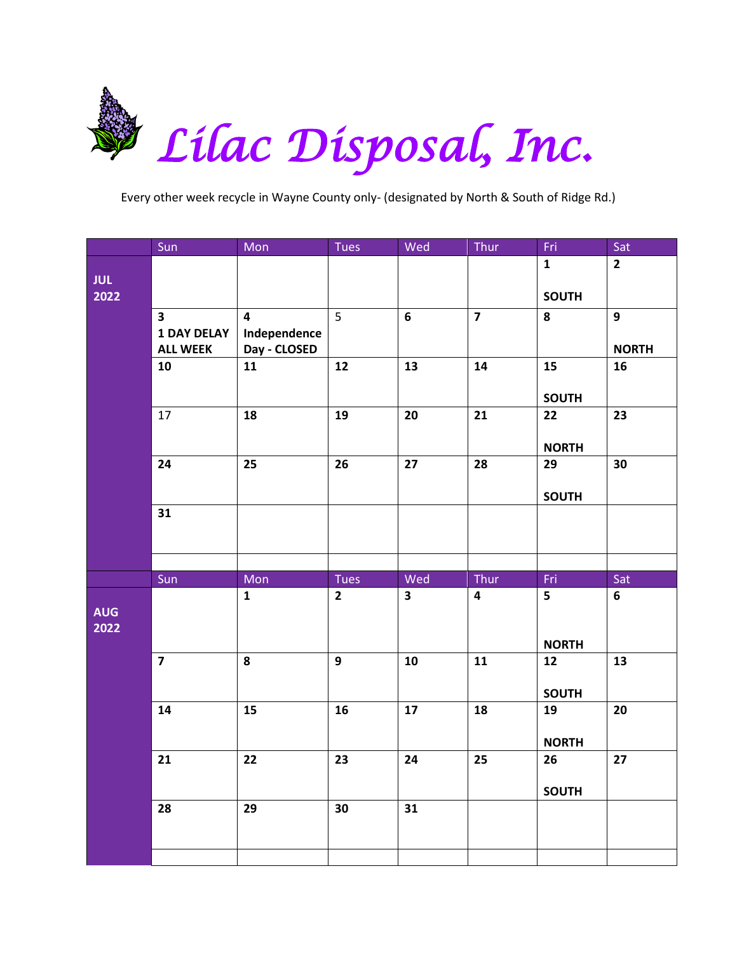

|                    | Sun                                   | $M$ on                       | Tues           | Wed                     | Thur           | Fri                | Sat            |
|--------------------|---------------------------------------|------------------------------|----------------|-------------------------|----------------|--------------------|----------------|
| <b>JUL</b>         |                                       |                              |                |                         |                | $\mathbf{1}$       | $\overline{2}$ |
| 2022               |                                       |                              |                |                         |                | <b>SOUTH</b>       |                |
|                    | $\overline{\mathbf{3}}$               | $\overline{4}$               | $\overline{5}$ | $6\phantom{a}$          | $\overline{7}$ | 8                  | 9              |
|                    | <b>1 DAY DELAY</b><br><b>ALL WEEK</b> | Independence<br>Day - CLOSED |                |                         |                |                    | <b>NORTH</b>   |
|                    | 10                                    | 11                           | 12             | 13                      | 14             | 15                 | 16             |
|                    |                                       |                              |                |                         |                | <b>SOUTH</b>       |                |
|                    | 17                                    | 18                           | 19             | 20                      | 21             | 22                 | 23             |
|                    |                                       |                              |                |                         |                |                    |                |
|                    | 24                                    | 25                           | 26             | 27                      | 28             | <b>NORTH</b><br>29 | 30             |
|                    |                                       |                              |                |                         |                |                    |                |
|                    | 31                                    |                              |                |                         |                | <b>SOUTH</b>       |                |
|                    |                                       |                              |                |                         |                |                    |                |
|                    |                                       |                              |                |                         |                |                    |                |
|                    |                                       |                              |                |                         |                |                    |                |
|                    | Sun                                   | Mon                          | Tues           | Wed                     | Thur           | Fri                | Sat            |
| <b>AUG</b><br>2022 |                                       | $\mathbf{1}$                 | $\overline{2}$ | $\overline{\mathbf{3}}$ | 4              | 5                  | 6              |
|                    | $\overline{\mathbf{z}}$               | 8                            | 9 <sup>°</sup> | 10                      | 11             | <b>NORTH</b><br>12 | 13             |
|                    |                                       |                              |                |                         |                |                    |                |
|                    |                                       |                              |                |                         |                | <b>SOUTH</b>       |                |
|                    | 14                                    | 15                           | 16             | 17                      | 18             | 19                 | 20             |
|                    |                                       |                              |                |                         |                | <b>NORTH</b>       |                |
|                    | 21                                    | 22                           | 23             | 24                      | 25             | 26                 | 27             |
|                    |                                       |                              |                |                         |                | <b>SOUTH</b>       |                |
|                    | 28                                    | 29                           | 30             | 31                      |                |                    |                |
|                    |                                       |                              |                |                         |                |                    |                |
|                    |                                       |                              |                |                         |                |                    |                |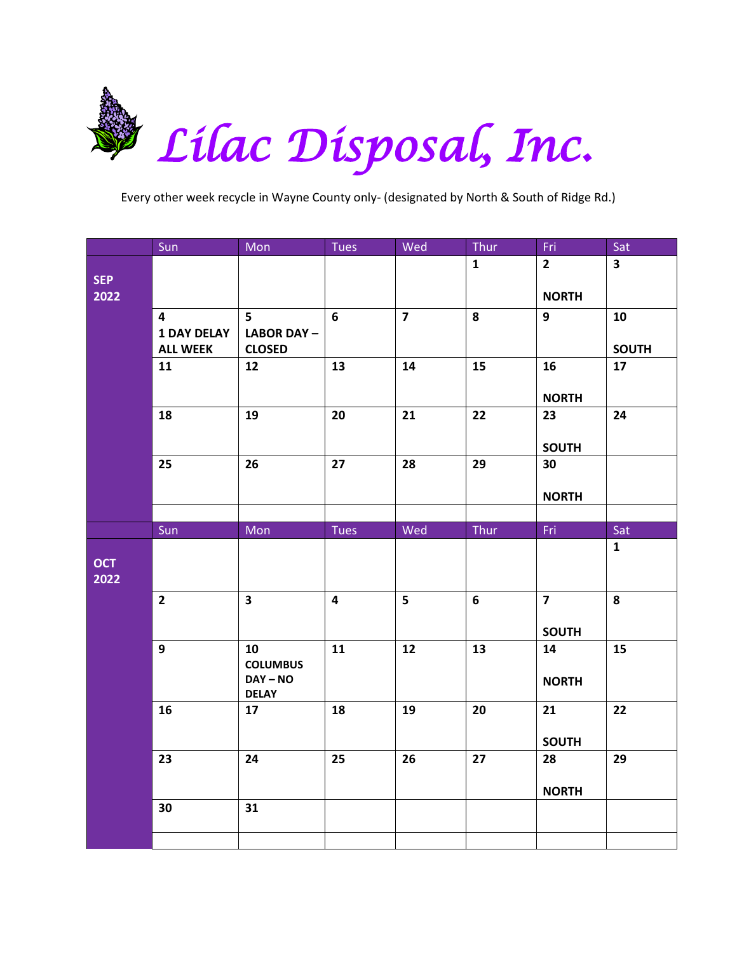

|            | Sun                     | Mon                        | <b>Tues</b>             | Wed                     | Thur         | Fri                     | Sat                     |
|------------|-------------------------|----------------------------|-------------------------|-------------------------|--------------|-------------------------|-------------------------|
|            |                         |                            |                         |                         | $\mathbf{1}$ | $\mathbf{2}$            | $\overline{\mathbf{3}}$ |
| <b>SEP</b> |                         |                            |                         |                         |              |                         |                         |
| 2022       |                         |                            |                         |                         |              | <b>NORTH</b>            |                         |
|            | $\overline{\mathbf{4}}$ | 5                          | 6                       | $\overline{\mathbf{z}}$ | 8            | 9                       | 10                      |
|            | <b>1 DAY DELAY</b>      | <b>LABOR DAY-</b>          |                         |                         |              |                         |                         |
|            | <b>ALL WEEK</b><br>11   | <b>CLOSED</b><br>12        | 13                      | 14                      | 15           | 16                      | <b>SOUTH</b><br>17      |
|            |                         |                            |                         |                         |              |                         |                         |
|            |                         |                            |                         |                         |              | <b>NORTH</b>            |                         |
|            | 18                      | 19                         | 20                      | 21                      | 22           | 23                      | 24                      |
|            |                         |                            |                         |                         |              |                         |                         |
|            |                         |                            |                         |                         |              | <b>SOUTH</b>            |                         |
|            | 25                      | 26                         | 27                      | 28                      | 29           | 30                      |                         |
|            |                         |                            |                         |                         |              |                         |                         |
|            |                         |                            |                         |                         |              | <b>NORTH</b>            |                         |
|            | Sun                     | Mon                        | <b>Tues</b>             | Wed                     | Thur         | Fri                     | Sat                     |
|            |                         |                            |                         |                         |              |                         | $\mathbf{1}$            |
| <b>OCT</b> |                         |                            |                         |                         |              |                         |                         |
| 2022       |                         |                            |                         |                         |              |                         |                         |
|            | $\mathbf{2}$            | $\mathbf{3}$               | $\overline{\mathbf{4}}$ | 5                       | 6            | $\overline{\mathbf{z}}$ | 8                       |
|            |                         |                            |                         |                         |              |                         |                         |
|            |                         |                            |                         |                         |              | <b>SOUTH</b>            |                         |
|            | 9                       | 10                         | 11                      | 12                      | 13           | 14                      | 15                      |
|            |                         | <b>COLUMBUS</b>            |                         |                         |              |                         |                         |
|            |                         | $DAY - NO$<br><b>DELAY</b> |                         |                         |              | <b>NORTH</b>            |                         |
|            | 16                      | 17                         | 18                      | 19                      | 20           | 21                      | 22                      |
|            |                         |                            |                         |                         |              |                         |                         |
|            |                         |                            |                         |                         |              | <b>SOUTH</b>            |                         |
|            | 23                      | 24                         | 25                      | 26                      | 27           | 28                      | 29                      |
|            |                         |                            |                         |                         |              |                         |                         |
|            | 30                      | 31                         |                         |                         |              | <b>NORTH</b>            |                         |
|            |                         |                            |                         |                         |              |                         |                         |
|            |                         |                            |                         |                         |              |                         |                         |